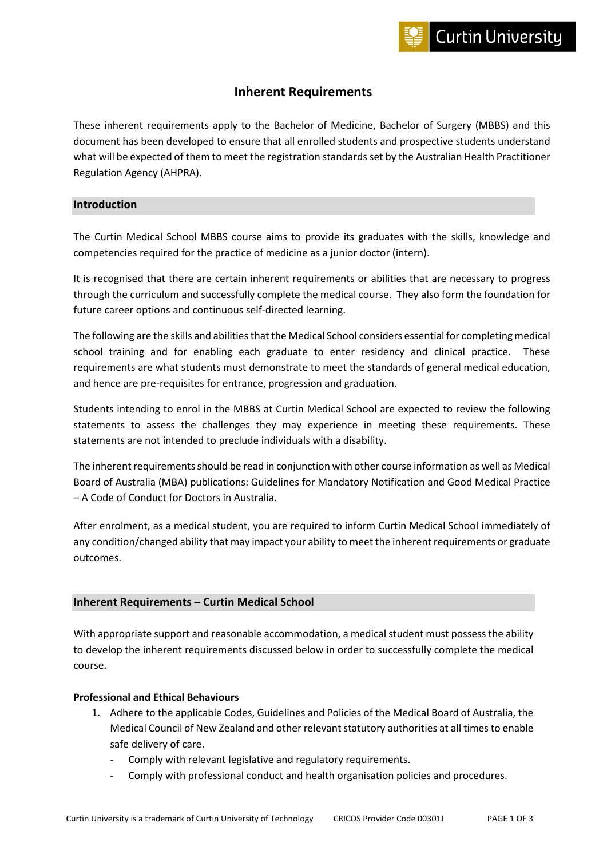# **Inherent Requirements**

These inherent requirements apply to the Bachelor of Medicine, Bachelor of Surgery (MBBS) and this document has been developed to ensure that all enrolled students and prospective students understand what will be expected of them to meet the registration standards set by the Australian Health Practitioner Regulation Agency (AHPRA).

## **Introduction**

The Curtin Medical School MBBS course aims to provide its graduates with the skills, knowledge and competencies required for the practice of medicine as a junior doctor (intern).

It is recognised that there are certain inherent requirements or abilities that are necessary to progress through the curriculum and successfully complete the medical course. They also form the foundation for future career options and continuous self-directed learning.

The following are the skills and abilities that the Medical School considers essential for completing medical school training and for enabling each graduate to enter residency and clinical practice. These requirements are what students must demonstrate to meet the standards of general medical education, and hence are pre-requisites for entrance, progression and graduation.

Students intending to enrol in the MBBS at Curtin Medical School are expected to review the following statements to assess the challenges they may experience in meeting these requirements. These statements are not intended to preclude individuals with a disability.

The inherent requirements should be read in conjunction with other course information as well as Medical Board of Australia (MBA) publications: Guidelines for Mandatory Notification and Good Medical Practice – A Code of Conduct for Doctors in Australia.

After enrolment, as a medical student, you are required to inform Curtin Medical School immediately of any condition/changed ability that may impact your ability to meet the inherent requirements or graduate outcomes.

#### **Inherent Requirements – Curtin Medical School**

With appropriate support and reasonable accommodation, a medical student must possess the ability to develop the inherent requirements discussed below in order to successfully complete the medical course.

## **Professional and Ethical Behaviours**

- 1. Adhere to the applicable Codes, Guidelines and Policies of the Medical Board of Australia, the Medical Council of New Zealand and other relevant statutory authorities at all times to enable safe delivery of care.
	- Comply with relevant legislative and regulatory requirements.
	- Comply with professional conduct and health organisation policies and procedures.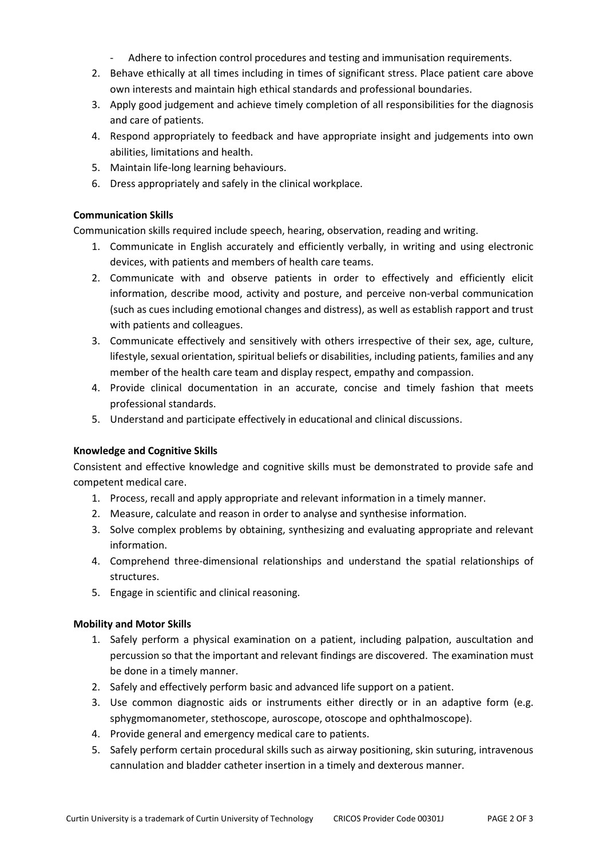- Adhere to infection control procedures and testing and immunisation requirements.
- 2. Behave ethically at all times including in times of significant stress. Place patient care above own interests and maintain high ethical standards and professional boundaries.
- 3. Apply good judgement and achieve timely completion of all responsibilities for the diagnosis and care of patients.
- 4. Respond appropriately to feedback and have appropriate insight and judgements into own abilities, limitations and health.
- 5. Maintain life-long learning behaviours.
- 6. Dress appropriately and safely in the clinical workplace.

# **Communication Skills**

Communication skills required include speech, hearing, observation, reading and writing.

- 1. Communicate in English accurately and efficiently verbally, in writing and using electronic devices, with patients and members of health care teams.
- 2. Communicate with and observe patients in order to effectively and efficiently elicit information, describe mood, activity and posture, and perceive non-verbal communication (such as cues including emotional changes and distress), as well as establish rapport and trust with patients and colleagues.
- 3. Communicate effectively and sensitively with others irrespective of their sex, age, culture, lifestyle, sexual orientation, spiritual beliefs or disabilities, including patients, families and any member of the health care team and display respect, empathy and compassion.
- 4. Provide clinical documentation in an accurate, concise and timely fashion that meets professional standards.
- 5. Understand and participate effectively in educational and clinical discussions.

#### **Knowledge and Cognitive Skills**

Consistent and effective knowledge and cognitive skills must be demonstrated to provide safe and competent medical care.

- 1. Process, recall and apply appropriate and relevant information in a timely manner.
- 2. Measure, calculate and reason in order to analyse and synthesise information.
- 3. Solve complex problems by obtaining, synthesizing and evaluating appropriate and relevant information.
- 4. Comprehend three-dimensional relationships and understand the spatial relationships of structures.
- 5. Engage in scientific and clinical reasoning.

#### **Mobility and Motor Skills**

- 1. Safely perform a physical examination on a patient, including palpation, auscultation and percussion so that the important and relevant findings are discovered. The examination must be done in a timely manner.
- 2. Safely and effectively perform basic and advanced life support on a patient.
- 3. Use common diagnostic aids or instruments either directly or in an adaptive form (e.g. sphygmomanometer, stethoscope, auroscope, otoscope and ophthalmoscope).
- 4. Provide general and emergency medical care to patients.
- 5. Safely perform certain procedural skills such as airway positioning, skin suturing, intravenous cannulation and bladder catheter insertion in a timely and dexterous manner.